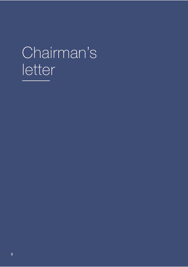# Chairman's letter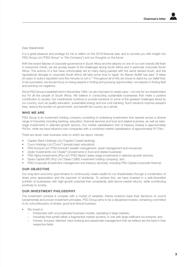#### Dear Stakeholder

It is a great pleasure and privilege for me to reflect on the 2018 financial year, and to provide you with insight into PSG Group Ltd ("PSG Group" or "the Company") and our thoughts on the future.

With the recent failures of corporate governance in South Africa and the attacks on one of our own brands still fresh in everyone's minds, we are acutely aware of the challenges facing South Africa and in particular corporate South Africa. The actions of a few have unfortunately led to many being painted with the same tainted brush, and the reputational damage to corporate South Africa will take some time to repair. As Warren Buffet has said: "It takes 20 years to build a reputation and five minutes to ruin it." Throughout all of this we chose to stand by our belief that, to be successful, we should focus on being experts in finding and pursuing opportunities, not experts in finding fault and pointing out negativity.

Since PSG Group's establishment in November 1995, our aim has been to create value – not only for our shareholders but for all the people of South Africa. We believe in conducting sustainable businesses that make a positive contribution to society. Our investments continue to provide solutions to some of the greatest challenges faced by our country, such as quality education, sustainable energy and low-cost banking. Such solutions improve people's lives, reduce the burden on government, and benefit the country as a whole.

## WHO WE ARE

PSG Group is an investment holding company consisting of underlying investments that operate across a diverse range of industries including banking, education, financial services and food and related business, as well as earlystage investments in selected growth sectors. Our market capitalisation (net of treasury shares) is approximately R47bn, while we have influence over companies with a combined market capitalisation of approximately R170bn.

There are seven main business units on which we report, namely:

- Capitec Bank Holdings Ltd ("Capitec") (retail banking);
- Curro Holdings Ltd ("Curro") (private basic education);
- PSG Konsult Ltd ("PSG Konsult") (wealth management, asset management and insurance);
- Zeder Investments Ltd ("Zeder") (investments in food and related business);
- PSG Alpha Investments (Pty) Ltd ("PSG Alpha") (early-stage investments in selected growth sectors);
- Dipeo Capital (RF) (Pty) Ltd ("Dipeo") (BEE investment holding company); and
- PSG Corporate (investment management and treasury services), including PSG Capital (corporate finance).

## OUR OBJECTIVE

Our long-term economic goal remains to continuously create wealth for our shareholders through a combination of share price appreciation and the payment of dividends. To achieve this, we have invested in a well-diversified portfolio of businesses with high-growth potential that consistently yield above-market returns, while contributing positively to society.

#### OUR INVESTMENT PHILOSOPHY

The investment universe is complex with a myriad of variables. Astute investors base their decisions on sound fundamentals and proven investment principles. PSG Group aims to be a disciplined investor, remaining committed to its core philosophy of simple, good and ethical business.

- We invest in:
	- Enterprises with uncomplicated business models, operating in large markets;
	- Industries that exhibit either a fragmented market dynamic or one with large inefficient incumbents; and
	- Honest, focused, talented, hard-working and passionate management that we believe are the best in their respective fields.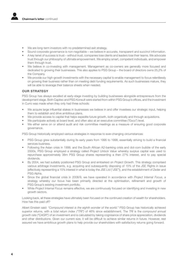- We are long-term investors with no predetermined exit strategy.
- Sound corporate governance is non-negotiable we believe in accurate, transparent and succinct information.
- A key tenet of success is trust without trust, companies lose clients and leaders lose their teams. We advocate trust through our philosophy of ultimate empowerment. We employ smart, competent individuals, and empower them through trust.
- We believe in co-investing with management. Management as co-owners are generally more focused and dedicated to growing their businesses. This also applies to PSG Group – the board of directors owns 25,2% of the Company.
- We provide our high-growth investments with the necessary capital to enable management to focus relentlessly on growing their business rather than on meeting debt funding requirements. As such businesses mature, they will be able to leverage their balance sheets when needed.

# OUR STRATEGY

PSG Group has always excelled at early-stage investing by building businesses alongside entrepreneurs from the development stage. Both Capitec and PSG Konsult were started from within PSG Group's offices, and the investment in Curro was made when they only had three schools:

- We acquire large influential stakes in businesses we believe in and offer investees our strategic input, helping them to establish and drive ambitious plans.
- We provide access to capital that helps expedite future growth, both organically and through acquisitions.
- We participate actively at board level, and often also at an executive committee ("Exco") level.
- We either serve on or attend audit and risk committee meetings as a measure of ensuring good corporate governance.

PSG Group historically employed various strategies in response to ever-changing circumstances:

- PSG Group grew substantially during its early years from 1995 to 1998, essentially striving to build a financial services business.
- Following the Asian crisis in 1999, and the South African A2-banking crisis and dot-com bubble of the early 2000s, PSG Group employed a strategy called Project Unlock Value whereby surplus capital was used to repurchase approximately 38m PSG Group shares representing a then 27% interest, and to pay special dividends.
- By 2004, we had suitably positioned PSG Group and embarked on Project Growth. This strategy comprised various arbitrage investments, e.g. acquiring and subsequently disposing of 15% of the JSE Rights in issue (effectively representing a 15% interest in what is today the JSE Ltd ("JSE")), and the establishment of Zeder and PSG Alpha.
- Since the global financial crisis in 2008/9, we have operated in accordance with Project Internal Focus, a strategy whereby our focus has been primarily directed at the optimisation, refinement and growth of PSG Group's existing investment portfolio.
- While Project Internal Focus remains effective, we are continuously focused on identifying and investing in new growth sectors.

Looking back, all these strategies have ultimately been focused on the continued creation of wealth for shareholders. How has this paid off?

Albert Einstein said: "Compound interest is the eighth wonder of the world." PSG Group has historically achieved superior returns, with a total return index ("TRI") of 46% since establishment. The TRI is the compound annual growth rate ("CAGR") of an investment and is calculated by taking cognisance of share price appreciation, dividends and other distributions. Given our current size, it will be difficult to achieve similar returns in future. However, rest assured we have ambitious growth plans to help provide our shareholders with satisfactory returns going forward.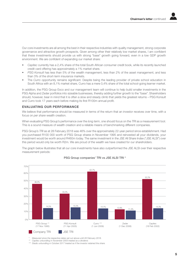Our core investments are all among the best in their respective industries with quality management, strong corporate governance and attractive growth prospects. Given among other their relatively low market shares, I am confident that these investments should provide us with strong "base" growth going forward, even in a low GDP growth environment. We are confident of expanding our market share:

- Capitec currently has a 2,4% share of the total South African consumer credit book, while its recently launched credit card offering has approximately a 1% market share.
- PSG Konsult has less than 5% of the wealth management, less than 2% of the asset management, and less than 3% of the short-term insurance markets.
- The Curro opportunity remains significant. Despite being the leading provider of private school education in South Africa with an 8,1% market share, Curro has a mere 0,4% share of the total school-going learner market.

In addition, the PSG Group Exco and our management team will continue to help build smaller investments in the PSG Alpha and Zeder portfolios into sizeable businesses, thereby adding further growth to the "base". Shareholders should, however, bear in mind that it is often a slow and steady climb that yields the greatest returns – PSG Konsult and Curro took 17 years each before making its first R100m annual profit.

## EVALUATING OUR PERFORMANCE

We believe that performance should be measured in terms of the return that an investor receives over time, with a focus on per share wealth creation.

When evaluating PSG Group's performance over the long term, one should focus on the TRI as a measurement tool. This is a sound measure of wealth creation and a reliable means of benchmarking different companies.

PSG Group's TRI as at 28 February 2018 was 46% over the approximately 22-year period since establishment. Had you purchased R100 000 worth of PSG Group shares in November 1995 and reinvested all your dividends, your investment would be worth around R460m today. The same investment in the JSE All Share Index ("JSE ALSI") over this period would only be worth R2m. We are proud of the wealth we have created for our shareholders.

The graph below illustrates that all our core investments have also outperformed the JSE ALSI over their respective measurement periods:



PSG Group companies' TRI vs JSE ALSI TRI \*

Measured since the respective dates set out above until 28 February 2018.

Capitec unbundling in November 2003 treated as a dividend.

\*\*\* Stadio unbundling in October 2017 treated as if the investor retained the share.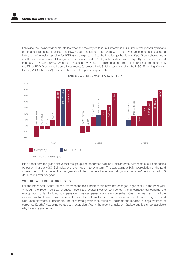Following the Steinhoff debacle late last year, the majority of its 25,5% interest in PSG Group was placed by means of an accelerated book build. The PSG Group shares on offer were 3,9 times oversubscribed, being a good indication of investor appetite for PSG Group exposure. Steinhoff no longer holds any PSG Group shares. As a result, PSG Group's overall foreign ownership increased to 18%, with its share trading liquidity for the year ended February 2018 being 68%. Given the increase in PSG Group's foreign shareholding, it is appropriate to benchmark the TRI of PSG Group and its core investments (expressed in US dollar terms) against the MSCI Emerging Markets Index ("MSCI EM Index") over one, three and five years, respectively.



PSG Group TRI vs MSCI EM Index TRI \*

It is evident from the graph above that the group also performed well in US dollar terms, with most of our companies outperforming the MSCI EM Index over the medium to long term. The approximate 10% appreciation of the rand against the US dollar during the past year should be considered when evaluating our companies' performance in US dollar terms over one year.

# WHERE WE FIND OURSELVES

For the most part, South Africa's macroeconomic fundamentals have not changed significantly in the past year. Although the recent political changes have lifted overall investor confidence, the uncertainty surrounding the expropriation of land without compensation has dampened optimism somewhat. Over the near term, until the various structural issues have been addressed, the outlook for South Africa remains one of low GDP growth and high unemployment. Furthermore, the corporate governance failing at Steinhoff has resulted in large swathes of corporate South Africa being treated with suspicion. Add in the recent attacks on Capitec and it is understandable why investors are nervous.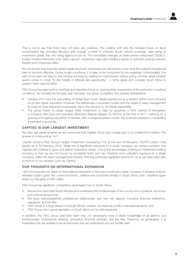

This is not to say that there have not been any positives. The political shift and the renewed focus on fiscal consolidation has provided Moody's with enough comfort to maintain South Africa's sovereign debt rating at investment grade, the only rating agency to do so. The immediate changes at state-owned enterprises ("SOEs"), foreign investor interaction and "state capture" crackdown have also instilled a sense of optimism among business leaders and consumers alike.

No one knows how long the current weak economic circumstances will prevail or how long the political changes will take to become effective. During tough conditions, it is easy to be consumed by the negatives. Unfortunately, this type of mindset can lead to one missing the boat by waiting for improvement before acting. Another great Einstein quote comes to mind: "In the middle of difficulty lies opportunity." – I firmly agree and consider South Africa to present many opportunities!

PSG Group has been built on positivity and relentless focus on opportunities, irrespective of the economic or political conditions. As turbulent as the past year has been, the group completed two sizeable transactions:

- October 2017 saw the unbundling of Stadio from Curro. Stadio started out as a division within Curro focusing on private higher education. However, the differences in business models and the desire to keep management focused on their respective businesses, led to the decision to list Stadio separately.
- The group made its single largest initial investment to date by acquiring a 50% interest in Evergreen, a company that owns and operates retirement lifestyle villages, for R675m at the end of 2017. Catering for a growing and ageing population of retirees, with a unique business model, this business presents a compelling investment opportunity.

# CAPITEC IS OUR LARGEST INVESTMENT

We often get asked whether we are concerned that Capitec forms such a large part of our investment portfolio. The answer is a resounding "no"!

Capitec remains PSG Group's largest investment comprising 51% of the sum-of-the-parts ("SOTP") value's total assets as at 28 February 2018. While this is significant exposure to a single company, we remain confident that Capitec will continue to grow and deliver impressive results. One of the advantages of being an investment holding company is that we are not bound by prudential limits and can therefore have unlimited exposure to a single company, unlike the asset management industry. This has produced significant returns for us as we have been able to hold on to our winners, such as Capitec.

# OUR THOUGHTS ON INTERNATIONAL EXPANSION

I did communicate our views on international expansion in last year's *chairman's letter*; however, it remains a heavily debated subject given the current economic, political and corporate climate in South Africa, and I therefore again share our thoughts on the matter.

PSG Group has significant competitive advantages here in South Africa:

- We are born and bred South Africans and understand the fundamentals of the country from a political, economic and cultural perspective;
- We have well-established professional relationships with key role players, including financial institutions, regulators, and the like;
- PSG Group is a large player in a South African context, but relatively small in international terms; and
- PSG Group has a good reputation in South Africa and is well respected.

In addition, the PSG Group executive team may not necessarily have in-depth knowledge of all sectors, but fundamentally understands banking, education, financial services, and the like. Therefore, as generalists, it is imperative that we operate in an environment that we understand and are familiar with.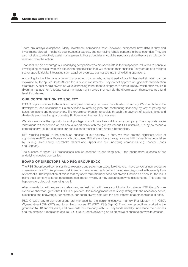There are always exceptions. Many investment companies have, however, expressed how difficult they find investments abroad – not being country/sector experts, and not having reliable contacts in those countries. They are also not able to effectively assist management in those countries should the need arise since they are simply too far removed from the action.

That said, we do encourage our underlying companies who are specialists in their respective industries to continue investigating sensible overseas expansion opportunities that will enhance their business. They are able to mitigate sector-specific risk by integrating such acquired overseas businesses into their existing operations.

According to the international asset management community, at least part of our higher market rating can be explained by the "pure" South African focus of our investments. They do not approve of "ignorant" diversification strategies. A deal should always be value enhancing rather than to simply earn hard currency, which often results in diverting management's focus. Asset managers rightly argue they can do the diversification themselves at a fund level, if so desired.

# OUR CONTRIBUTION TO SOCIETY

PSG Group subscribes to the notion that a great company can never be a burden on society. We contribute to the development and upliftment of South Africans by creating jobs and contributing financially by way of paying our taxes, donations and sponsorships. The group's contribution to society through the payment of salaries, taxes and dividends amounted to approximately R17bn during the past financial year.

We also embrace the opportunity and privilege to contribute beyond this as a company. The corporate social investment ("CSI") section of this annual report deals with the group's various CSI initiatives. It is by no means a comprehensive list but illustrates our dedication to making South Africa a better place.

BEE remains integral to the continued success of our country. To date, we have created significant value of approximately R20bn for thousands of broad-based BEE shareholders through various BEE transactions undertaken by us (e.g. Arch Equity, Thembeka Capital and Dipeo) and our underlying companies (e.g. Pioneer Foods and Capitec).

The success of these BEE transactions can be ascribed to one thing only – the phenomenal success of our underlying investee companies.

# BOARD OF DIRECTORS AND PSG GROUP EXCO

The PSG Group board comprises three executive and seven non-executive directors. I have served as non-executive chairman since 2010. As you may well know from my recent public letter, I have been diagnosed with an early form of dementia. The implication of this is that my short-term memory does not always function as it should, the result being that I sometimes forget people's names, repeat myself, or may appear somewhat disorientated. This does not happen every day, but I cannot ignore it.

After consultation with my senior colleagues, we feel that I still have a contribution to make as PSG Group's nonexecutive chairman, given that PSG Group's executive management team is very strong with the necessary depth, experience and knowledge. Furthermore, our board always acts with the best interest of all stakeholders at heart.

PSG Group's day-to-day operations are managed by the senior executives, namely Piet Mouton (41) (CEO), Wynand Greeff (48) (CFO) and Johan Holtzhausen (47) (CEO: PSG Capital). They have respectively worked in the group for 14, 16 and 20 years, and have built the Company with us. They fundamentally understand the business and the direction it requires to ensure PSG Group keeps delivering on its objective of shareholder wealth creation.